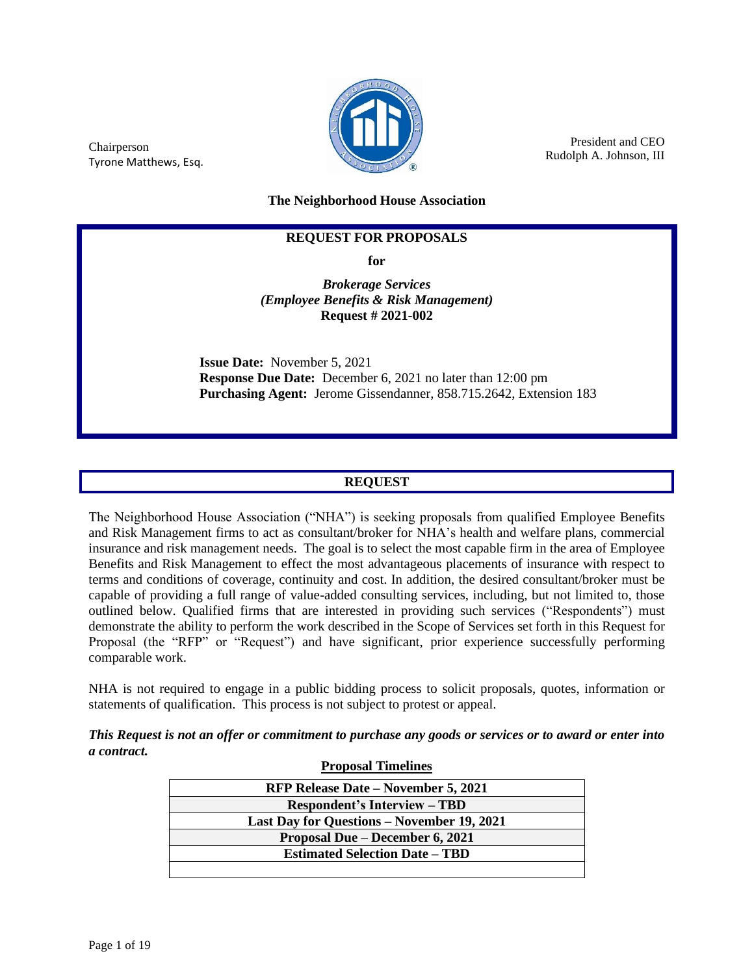

President and CEO Rudolph A. Johnson, III

Chairperson Tyrone Matthews, Esq.

**The Neighborhood House Association**

### **REQUEST FOR PROPOSALS**

**for**

*Brokerage Services (Employee Benefits & Risk Management)* **Request # 2021-002**

**Issue Date:** November 5, 2021 **Response Due Date:** December 6, 2021 no later than 12:00 pm **Purchasing Agent:** Jerome Gissendanner, 858.715.2642, Extension 183

### **REQUEST**

The Neighborhood House Association ("NHA") is seeking proposals from qualified Employee Benefits and Risk Management firms to act as consultant/broker for NHA's health and welfare plans, commercial insurance and risk management needs. The goal is to select the most capable firm in the area of Employee Benefits and Risk Management to effect the most advantageous placements of insurance with respect to terms and conditions of coverage, continuity and cost. In addition, the desired consultant/broker must be capable of providing a full range of value-added consulting services, including, but not limited to, those outlined below. Qualified firms that are interested in providing such services ("Respondents") must demonstrate the ability to perform the work described in the Scope of Services set forth in this Request for Proposal (the "RFP" or "Request") and have significant, prior experience successfully performing comparable work.

NHA is not required to engage in a public bidding process to solicit proposals, quotes, information or statements of qualification. This process is not subject to protest or appeal.

*This Request is not an offer or commitment to purchase any goods or services or to award or enter into a contract.*

| <b>Proposal Timelines</b>                  |  |  |  |
|--------------------------------------------|--|--|--|
| <b>RFP Release Date – November 5, 2021</b> |  |  |  |
| <b>Respondent's Interview – TBD</b>        |  |  |  |
| Last Day for Questions – November 19, 2021 |  |  |  |
| Proposal Due – December 6, 2021            |  |  |  |
| <b>Estimated Selection Date – TBD</b>      |  |  |  |
|                                            |  |  |  |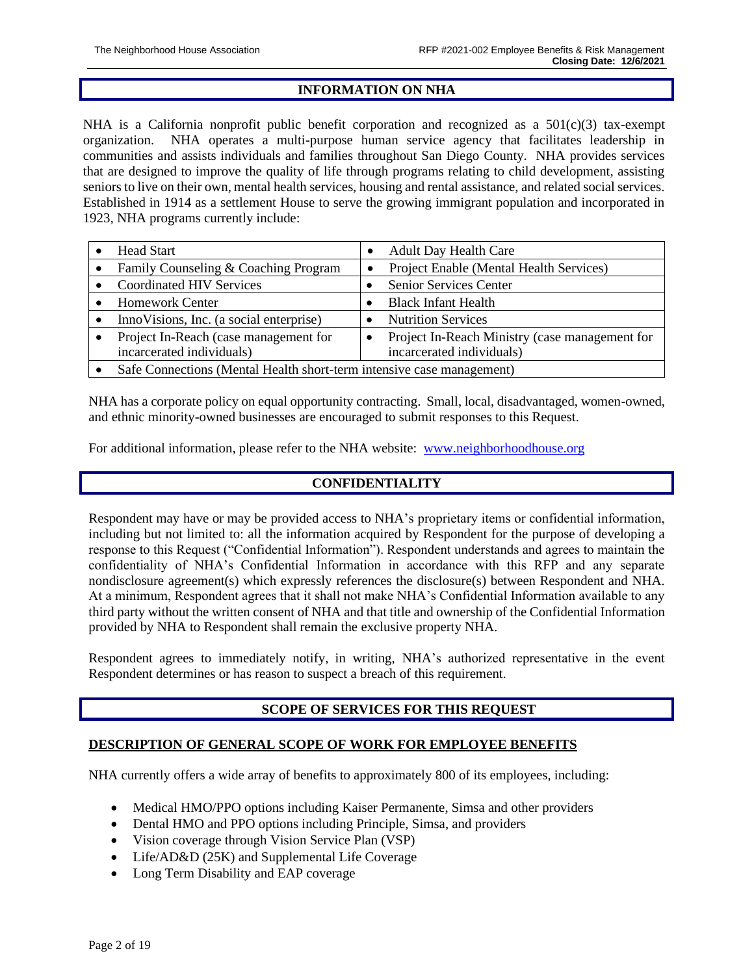### **INFORMATION ON NHA**

NHA is a California nonprofit public benefit corporation and recognized as a  $501(c)(3)$  tax-exempt organization. NHA operates a multi-purpose human service agency that facilitates leadership in communities and assists individuals and families throughout San Diego County. NHA provides services that are designed to improve the quality of life through programs relating to child development, assisting seniors to live on their own, mental health services, housing and rental assistance, and related social services. Established in 1914 as a settlement House to serve the growing immigrant population and incorporated in 1923, NHA programs currently include:

| <b>Head Start</b>                                                     |  | <b>Adult Day Health Care</b>                   |  |
|-----------------------------------------------------------------------|--|------------------------------------------------|--|
| Family Counseling & Coaching Program                                  |  | Project Enable (Mental Health Services)        |  |
| <b>Coordinated HIV Services</b>                                       |  | <b>Senior Services Center</b>                  |  |
| <b>Homework Center</b>                                                |  | <b>Black Infant Health</b>                     |  |
| Inno Visions, Inc. (a social enterprise)                              |  | <b>Nutrition Services</b>                      |  |
| Project In-Reach (case management for                                 |  | Project In-Reach Ministry (case management for |  |
| incarcerated individuals)                                             |  | incarcerated individuals)                      |  |
| Safe Connections (Mental Health short-term intensive case management) |  |                                                |  |

NHA has a corporate policy on equal opportunity contracting. Small, local, disadvantaged, women-owned, and ethnic minority-owned businesses are encouraged to submit responses to this Request.

For additional information, please refer to the NHA website: [www.neighborhoodhouse.org](http://www.neighborhoodhouse.org/)

## **CONFIDENTIALITY**

Respondent may have or may be provided access to NHA's proprietary items or confidential information, including but not limited to: all the information acquired by Respondent for the purpose of developing a response to this Request ("Confidential Information"). Respondent understands and agrees to maintain the confidentiality of NHA's Confidential Information in accordance with this RFP and any separate nondisclosure agreement(s) which expressly references the disclosure(s) between Respondent and NHA. At a minimum, Respondent agrees that it shall not make NHA's Confidential Information available to any third party without the written consent of NHA and that title and ownership of the Confidential Information provided by NHA to Respondent shall remain the exclusive property NHA.

Respondent agrees to immediately notify, in writing, NHA's authorized representative in the event Respondent determines or has reason to suspect a breach of this requirement.

## **SCOPE OF SERVICES FOR THIS REQUEST**

### **DESCRIPTION OF GENERAL SCOPE OF WORK FOR EMPLOYEE BENEFITS**

NHA currently offers a wide array of benefits to approximately 800 of its employees, including:

- Medical HMO/PPO options including Kaiser Permanente, Simsa and other providers
- Dental HMO and PPO options including Principle, Simsa, and providers
- Vision coverage through Vision Service Plan (VSP)
- Life/AD&D (25K) and Supplemental Life Coverage
- Long Term Disability and EAP coverage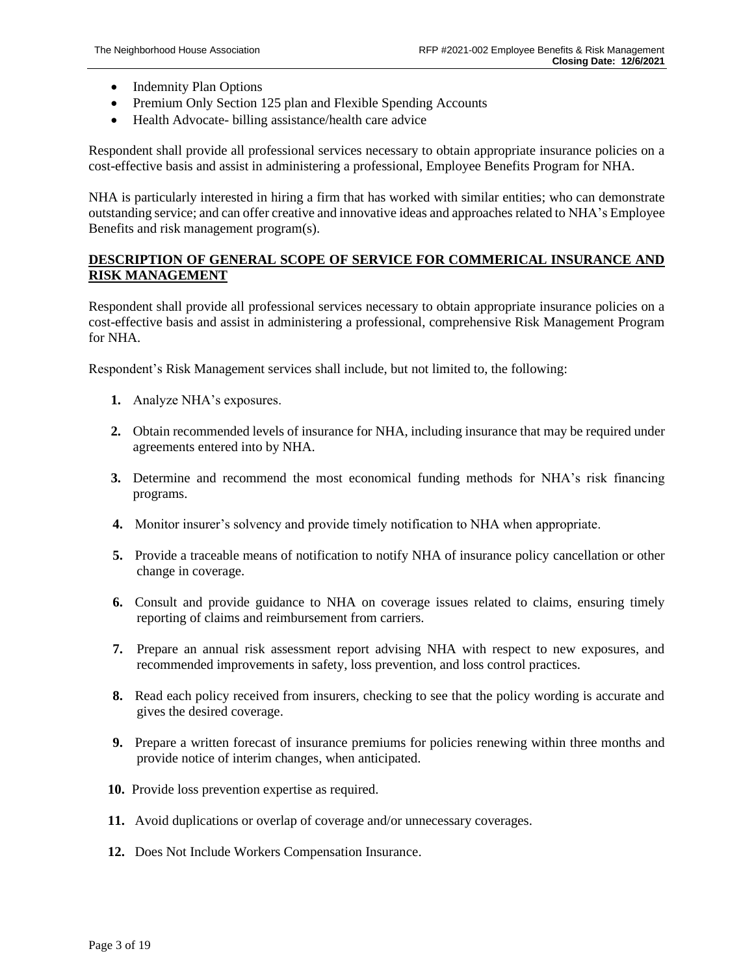- Indemnity Plan Options
- Premium Only Section 125 plan and Flexible Spending Accounts
- Health Advocate- billing assistance/health care advice

Respondent shall provide all professional services necessary to obtain appropriate insurance policies on a cost-effective basis and assist in administering a professional, Employee Benefits Program for NHA.

NHA is particularly interested in hiring a firm that has worked with similar entities; who can demonstrate outstanding service; and can offer creative and innovative ideas and approaches related to NHA's Employee Benefits and risk management program(s).

### **DESCRIPTION OF GENERAL SCOPE OF SERVICE FOR COMMERICAL INSURANCE AND RISK MANAGEMENT**

Respondent shall provide all professional services necessary to obtain appropriate insurance policies on a cost-effective basis and assist in administering a professional, comprehensive Risk Management Program for NHA.

Respondent's Risk Management services shall include, but not limited to, the following:

- **1.** Analyze NHA's exposures.
- **2.** Obtain recommended levels of insurance for NHA, including insurance that may be required under agreements entered into by NHA.
- **3.** Determine and recommend the most economical funding methods for NHA's risk financing programs.
- **4.** Monitor insurer's solvency and provide timely notification to NHA when appropriate.
- **5.** Provide a traceable means of notification to notify NHA of insurance policy cancellation or other change in coverage.
- **6.** Consult and provide guidance to NHA on coverage issues related to claims, ensuring timely reporting of claims and reimbursement from carriers.
- **7.** Prepare an annual risk assessment report advising NHA with respect to new exposures, and recommended improvements in safety, loss prevention, and loss control practices.
- **8.** Read each policy received from insurers, checking to see that the policy wording is accurate and gives the desired coverage.
- **9.** Prepare a written forecast of insurance premiums for policies renewing within three months and provide notice of interim changes, when anticipated.
- **10.** Provide loss prevention expertise as required.
- **11.** Avoid duplications or overlap of coverage and/or unnecessary coverages.
- **12.** Does Not Include Workers Compensation Insurance.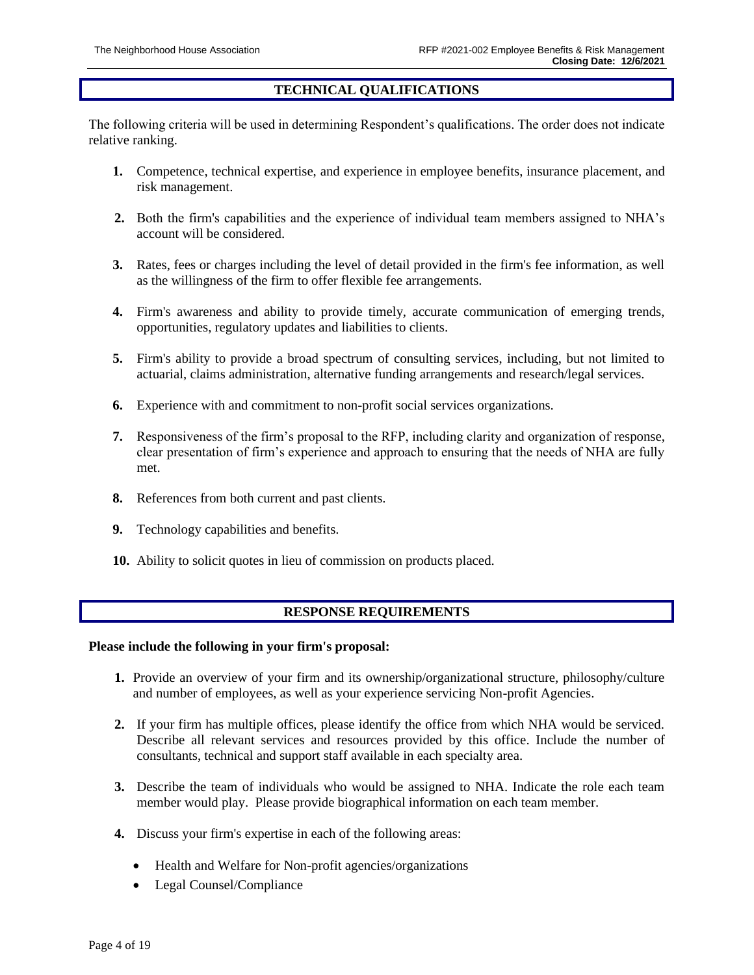### **TECHNICAL QUALIFICATIONS**

The following criteria will be used in determining Respondent's qualifications. The order does not indicate relative ranking.

- **1.** Competence, technical expertise, and experience in employee benefits, insurance placement, and risk management.
- **2.** Both the firm's capabilities and the experience of individual team members assigned to NHA's account will be considered.
- **3.** Rates, fees or charges including the level of detail provided in the firm's fee information, as well as the willingness of the firm to offer flexible fee arrangements.
- **4.** Firm's awareness and ability to provide timely, accurate communication of emerging trends, opportunities, regulatory updates and liabilities to clients.
- **5.** Firm's ability to provide a broad spectrum of consulting services, including, but not limited to actuarial, claims administration, alternative funding arrangements and research/legal services.
- **6.** Experience with and commitment to non-profit social services organizations.
- **7.** Responsiveness of the firm's proposal to the RFP, including clarity and organization of response, clear presentation of firm's experience and approach to ensuring that the needs of NHA are fully met.
- **8.** References from both current and past clients.
- **9.** Technology capabilities and benefits.
- **10.** Ability to solicit quotes in lieu of commission on products placed.

### **RESPONSE REQUIREMENTS**

#### **Please include the following in your firm's proposal:**

- **1.** Provide an overview of your firm and its ownership/organizational structure, philosophy/culture and number of employees, as well as your experience servicing Non-profit Agencies.
- **2.** If your firm has multiple offices, please identify the office from which NHA would be serviced. Describe all relevant services and resources provided by this office. Include the number of consultants, technical and support staff available in each specialty area.
- **3.** Describe the team of individuals who would be assigned to NHA. Indicate the role each team member would play. Please provide biographical information on each team member.
- **4.** Discuss your firm's expertise in each of the following areas:
	- Health and Welfare for Non-profit agencies/organizations
	- Legal Counsel/Compliance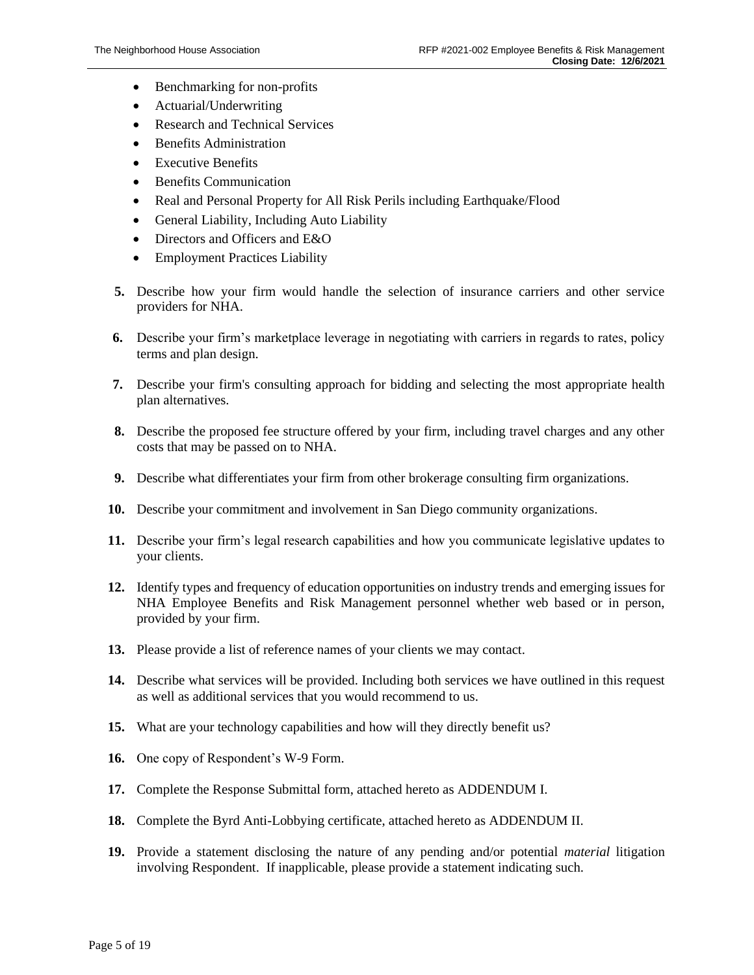- Benchmarking for non-profits
- Actuarial/Underwriting
- Research and Technical Services
- Benefits Administration
- **Executive Benefits**
- **Benefits Communication**
- Real and Personal Property for All Risk Perils including Earthquake/Flood
- General Liability, Including Auto Liability
- Directors and Officers and E&O
- Employment Practices Liability
- **5.** Describe how your firm would handle the selection of insurance carriers and other service providers for NHA.
- **6.** Describe your firm's marketplace leverage in negotiating with carriers in regards to rates, policy terms and plan design.
- **7.** Describe your firm's consulting approach for bidding and selecting the most appropriate health plan alternatives.
- **8.** Describe the proposed fee structure offered by your firm, including travel charges and any other costs that may be passed on to NHA.
- **9.** Describe what differentiates your firm from other brokerage consulting firm organizations.
- **10.** Describe your commitment and involvement in San Diego community organizations.
- **11.** Describe your firm's legal research capabilities and how you communicate legislative updates to your clients.
- **12.** Identify types and frequency of education opportunities on industry trends and emerging issues for NHA Employee Benefits and Risk Management personnel whether web based or in person, provided by your firm.
- **13.** Please provide a list of reference names of your clients we may contact.
- **14.** Describe what services will be provided. Including both services we have outlined in this request as well as additional services that you would recommend to us.
- **15.** What are your technology capabilities and how will they directly benefit us?
- **16.** One copy of Respondent's W-9 Form.
- **17.** Complete the Response Submittal form, attached hereto as ADDENDUM I.
- **18.** Complete the Byrd Anti-Lobbying certificate, attached hereto as ADDENDUM II.
- **19.** Provide a statement disclosing the nature of any pending and/or potential *material* litigation involving Respondent. If inapplicable, please provide a statement indicating such.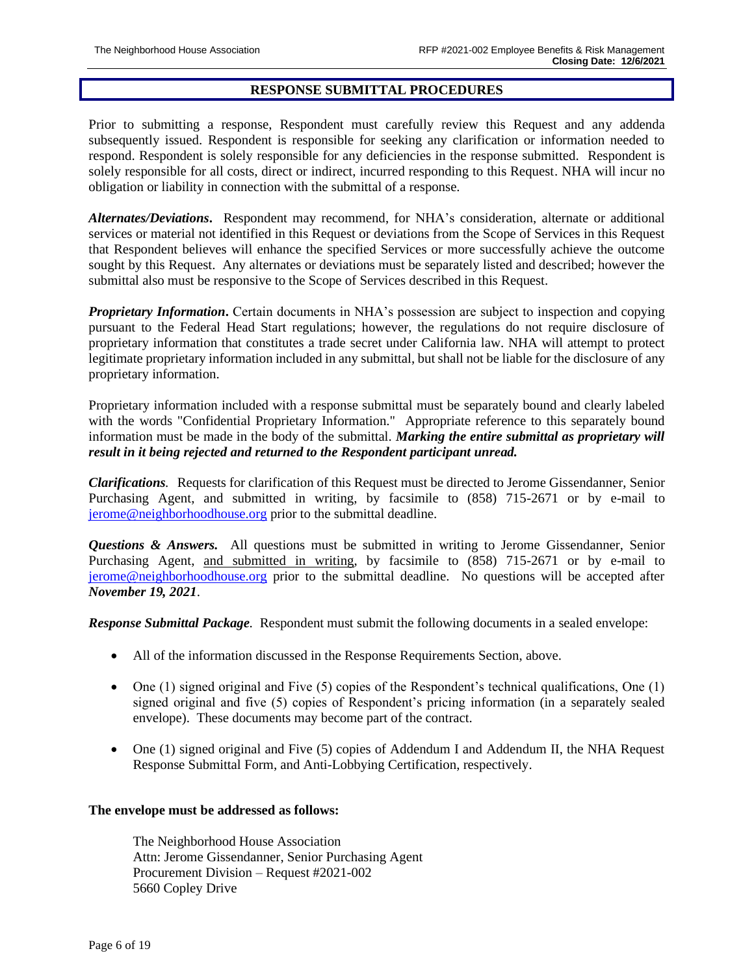#### **RESPONSE SUBMITTAL PROCEDURES**

Prior to submitting a response, Respondent must carefully review this Request and any addenda subsequently issued. Respondent is responsible for seeking any clarification or information needed to respond. Respondent is solely responsible for any deficiencies in the response submitted. Respondent is solely responsible for all costs, direct or indirect, incurred responding to this Request. NHA will incur no obligation or liability in connection with the submittal of a response.

*Alternates/Deviations***.** Respondent may recommend, for NHA's consideration, alternate or additional services or material not identified in this Request or deviations from the Scope of Services in this Request that Respondent believes will enhance the specified Services or more successfully achieve the outcome sought by this Request. Any alternates or deviations must be separately listed and described; however the submittal also must be responsive to the Scope of Services described in this Request.

*Proprietary Information***.** Certain documents in NHA's possession are subject to inspection and copying pursuant to the Federal Head Start regulations; however, the regulations do not require disclosure of proprietary information that constitutes a trade secret under California law. NHA will attempt to protect legitimate proprietary information included in any submittal, but shall not be liable for the disclosure of any proprietary information.

Proprietary information included with a response submittal must be separately bound and clearly labeled with the words "Confidential Proprietary Information." Appropriate reference to this separately bound information must be made in the body of the submittal. *Marking the entire submittal as proprietary will result in it being rejected and returned to the Respondent participant unread.*

*Clarifications.* Requests for clarification of this Request must be directed to Jerome Gissendanner, Senior Purchasing Agent, and submitted in writing, by facsimile to (858) 715-2671 or by e-mail to [jerome@neighborhoodhouse.org](mailto:jerome@neighborhoodhouse.org) prior to the submittal deadline.

*Questions & Answers.* All questions must be submitted in writing to Jerome Gissendanner, Senior Purchasing Agent, and submitted in writing, by facsimile to (858) 715-2671 or by e-mail to [jerome@neighborhoodhouse.org](mailto:jerome@neighborhoodhouse.org) prior to the submittal deadline. No questions will be accepted after *November 19, 2021*.

*Response Submittal Package.* Respondent must submit the following documents in a sealed envelope:

- All of the information discussed in the Response Requirements Section, above.
- One  $(1)$  signed original and Five  $(5)$  copies of the Respondent's technical qualifications, One  $(1)$ signed original and five (5) copies of Respondent's pricing information (in a separately sealed envelope). These documents may become part of the contract.
- One (1) signed original and Five (5) copies of Addendum I and Addendum II, the NHA Request Response Submittal Form, and Anti-Lobbying Certification, respectively.

#### **The envelope must be addressed as follows:**

The Neighborhood House Association Attn: Jerome Gissendanner, Senior Purchasing Agent Procurement Division – Request #2021-002 5660 Copley Drive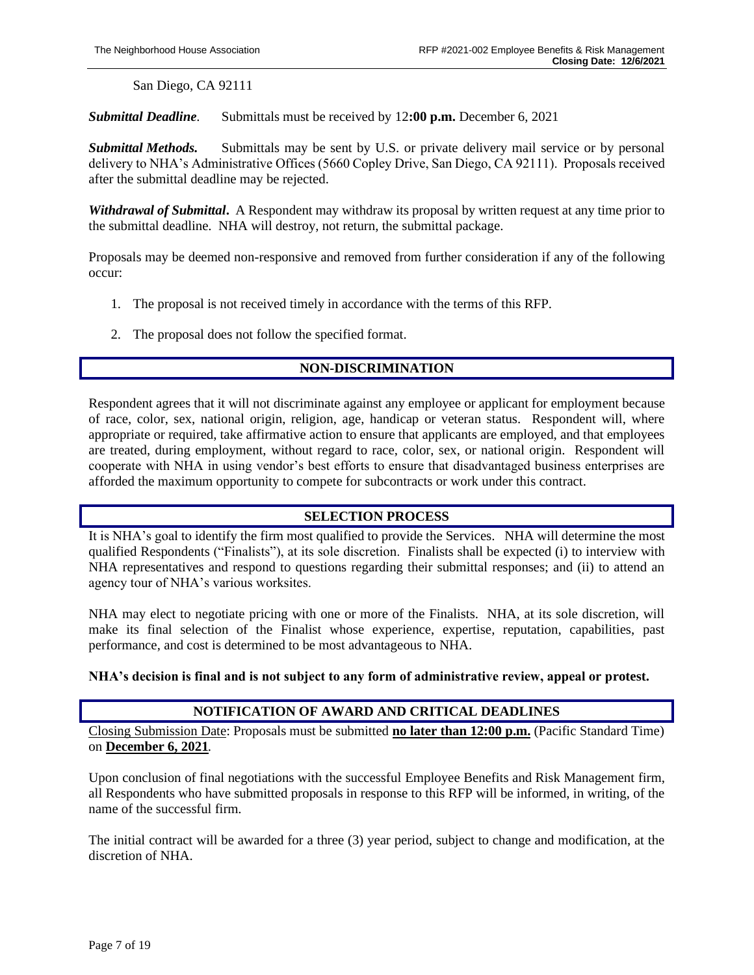San Diego, CA 92111

*Submittal Deadline.* Submittals must be received by 12**:00 p.m.** December 6, 2021

*Submittal Methods.* Submittals may be sent by U.S. or private delivery mail service or by personal delivery to NHA's Administrative Offices (5660 Copley Drive, San Diego, CA 92111). Proposals received after the submittal deadline may be rejected.

*Withdrawal of Submittal***.** A Respondent may withdraw its proposal by written request at any time prior to the submittal deadline. NHA will destroy, not return, the submittal package.

Proposals may be deemed non-responsive and removed from further consideration if any of the following occur:

- 1. The proposal is not received timely in accordance with the terms of this RFP.
- 2. The proposal does not follow the specified format.

### **NON-DISCRIMINATION**

Respondent agrees that it will not discriminate against any employee or applicant for employment because of race, color, sex, national origin, religion, age, handicap or veteran status. Respondent will, where appropriate or required, take affirmative action to ensure that applicants are employed, and that employees are treated, during employment, without regard to race, color, sex, or national origin. Respondent will cooperate with NHA in using vendor's best efforts to ensure that disadvantaged business enterprises are afforded the maximum opportunity to compete for subcontracts or work under this contract.

#### **SELECTION PROCESS**

It is NHA's goal to identify the firm most qualified to provide the Services. NHA will determine the most qualified Respondents ("Finalists"), at its sole discretion. Finalists shall be expected (i) to interview with NHA representatives and respond to questions regarding their submittal responses; and (ii) to attend an agency tour of NHA's various worksites.

NHA may elect to negotiate pricing with one or more of the Finalists. NHA, at its sole discretion, will make its final selection of the Finalist whose experience, expertise, reputation, capabilities, past performance, and cost is determined to be most advantageous to NHA.

#### **NHA's decision is final and is not subject to any form of administrative review, appeal or protest.**

### **NOTIFICATION OF AWARD AND CRITICAL DEADLINES**

Closing Submission Date: Proposals must be submitted **no later than 12:00 p.m.** (Pacific Standard Time) on **December 6, 2021***.*

Upon conclusion of final negotiations with the successful Employee Benefits and Risk Management firm, all Respondents who have submitted proposals in response to this RFP will be informed, in writing, of the name of the successful firm.

The initial contract will be awarded for a three (3) year period, subject to change and modification, at the discretion of NHA.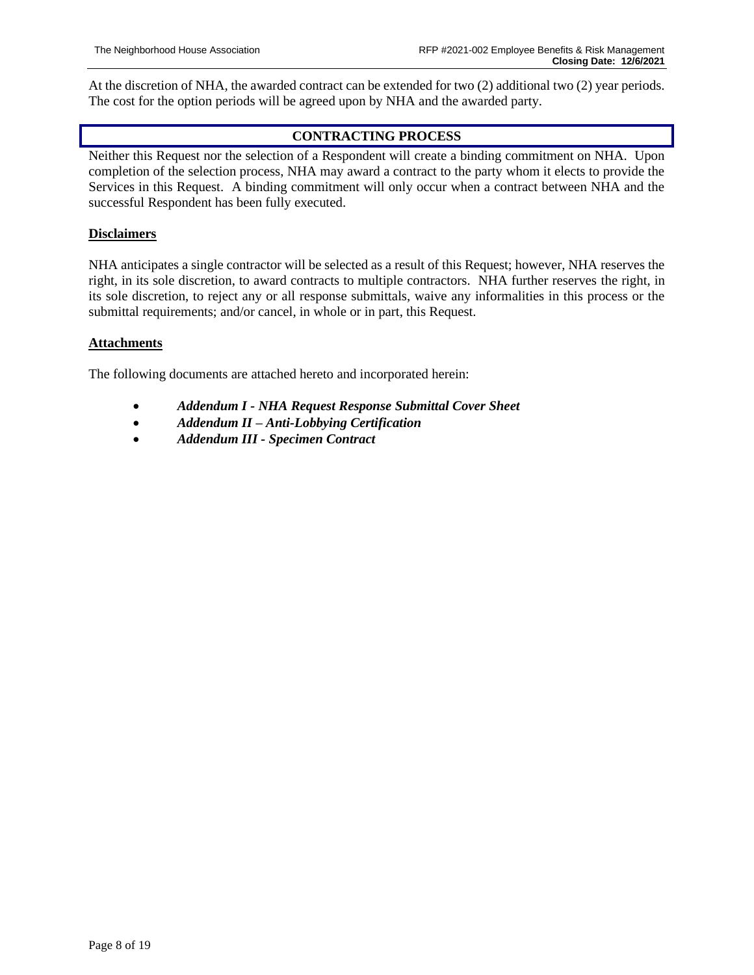At the discretion of NHA*,* the awarded contract can be extended for two (2) additional two (2) year periods. The cost for the option periods will be agreed upon by NHA and the awarded party.

## **CONTRACTING PROCESS**

Neither this Request nor the selection of a Respondent will create a binding commitment on NHA. Upon completion of the selection process, NHA may award a contract to the party whom it elects to provide the Services in this Request. A binding commitment will only occur when a contract between NHA and the successful Respondent has been fully executed.

### **Disclaimers**

NHA anticipates a single contractor will be selected as a result of this Request; however, NHA reserves the right, in its sole discretion, to award contracts to multiple contractors. NHA further reserves the right, in its sole discretion, to reject any or all response submittals, waive any informalities in this process or the submittal requirements; and/or cancel, in whole or in part, this Request.

### **Attachments**

The following documents are attached hereto and incorporated herein:

- *Addendum I - NHA Request Response Submittal Cover Sheet*
- *Addendum II – Anti-Lobbying Certification*
- *Addendum III - Specimen Contract*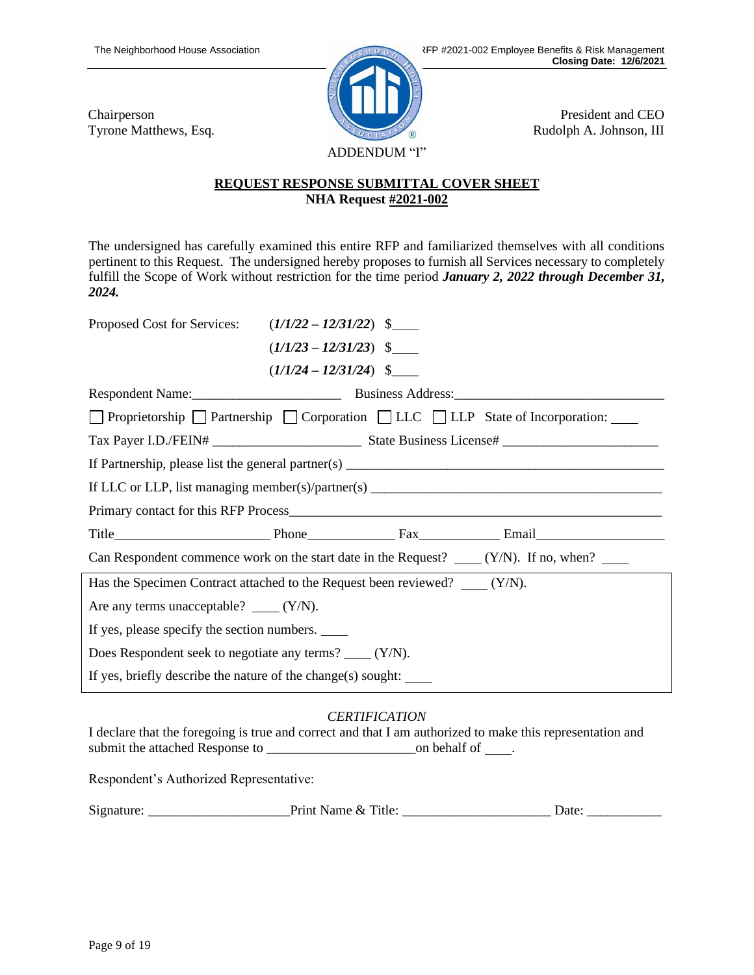Chairperson Tyrone Matthews, Esq.

President and CEO Rudolph A. Johnson, III

## **REQUEST RESPONSE SUBMITTAL COVER SHEET NHA Request #2021-002**

ADDENDUM "I"

The undersigned has carefully examined this entire RFP and familiarized themselves with all conditions pertinent to this Request. The undersigned hereby proposes to furnish all Services necessary to completely fulfill the Scope of Work without restriction for the time period *January 2, 2022 through December 31, 2024.* 

| Proposed Cost for Services: $(1/1/22 - 12/31/22)$ \$                                         |  |  |  |  |  |
|----------------------------------------------------------------------------------------------|--|--|--|--|--|
| $(1/1/23 - 12/31/23)$ \$                                                                     |  |  |  |  |  |
| $(1/1/24 - 12/31/24)$ \$                                                                     |  |  |  |  |  |
|                                                                                              |  |  |  |  |  |
| □ Proprietorship □ Partnership □ Corporation □ LLC □ LLP State of Incorporation:             |  |  |  |  |  |
|                                                                                              |  |  |  |  |  |
|                                                                                              |  |  |  |  |  |
|                                                                                              |  |  |  |  |  |
|                                                                                              |  |  |  |  |  |
|                                                                                              |  |  |  |  |  |
| Can Respondent commence work on the start date in the Request? $\qquad (Y/N)$ . If no, when? |  |  |  |  |  |
| Has the Specimen Contract attached to the Request been reviewed? $\qquad (Y/N)$ .            |  |  |  |  |  |
| Are any terms unacceptable? $\_\_\_\_$ (Y/N).                                                |  |  |  |  |  |
| If yes, please specify the section numbers.                                                  |  |  |  |  |  |
| Does Respondent seek to negotiate any terms? _____ (Y/N).                                    |  |  |  |  |  |
| If yes, briefly describe the nature of the change(s) sought:                                 |  |  |  |  |  |

## *CERTIFICATION*

I declare that the foregoing is true and correct and that I am authorized to make this representation and submit the attached Response to \_\_\_\_\_\_\_\_\_\_\_\_\_\_\_\_\_\_\_\_\_\_on behalf of .

Respondent's Authorized Representative:

| $\sim$<br>Sigr<br>. | <sup>1</sup> tle<br>татпе<br>$\alpha$<br>пш. | 1040 |
|---------------------|----------------------------------------------|------|
|---------------------|----------------------------------------------|------|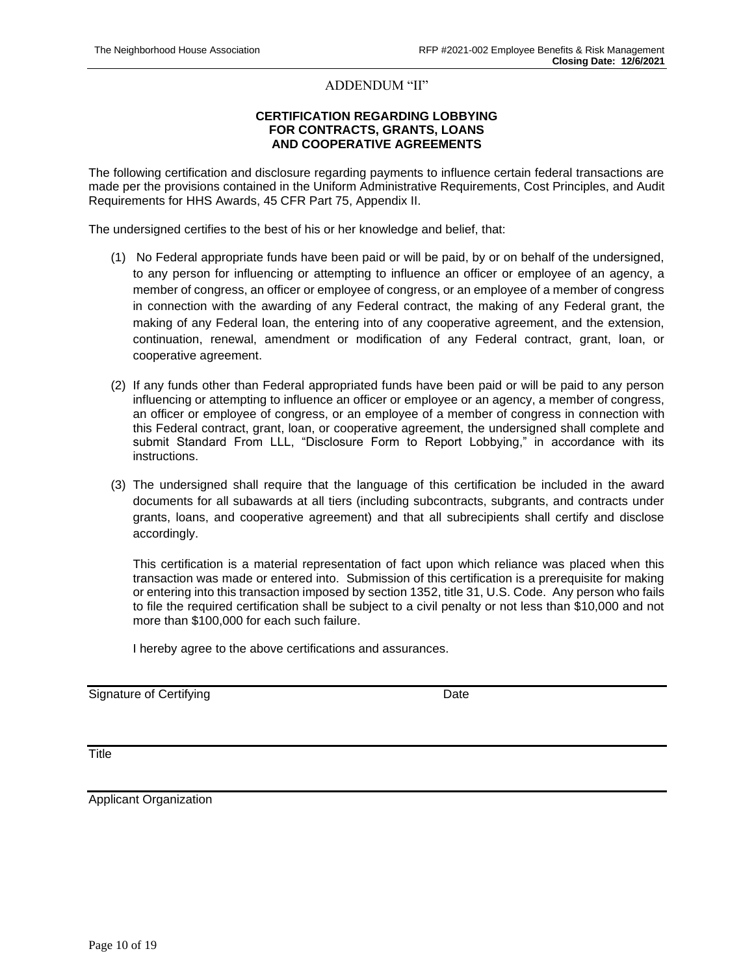#### ADDENDUM "II"

#### **CERTIFICATION REGARDING LOBBYING FOR CONTRACTS, GRANTS, LOANS AND COOPERATIVE AGREEMENTS**

The following certification and disclosure regarding payments to influence certain federal transactions are made per the provisions contained in the Uniform Administrative Requirements, Cost Principles, and Audit Requirements for HHS Awards, 45 CFR Part 75, Appendix II.

The undersigned certifies to the best of his or her knowledge and belief, that:

- (1) No Federal appropriate funds have been paid or will be paid, by or on behalf of the undersigned, to any person for influencing or attempting to influence an officer or employee of an agency, a member of congress, an officer or employee of congress, or an employee of a member of congress in connection with the awarding of any Federal contract, the making of any Federal grant, the making of any Federal loan, the entering into of any cooperative agreement, and the extension, continuation, renewal, amendment or modification of any Federal contract, grant, loan, or cooperative agreement.
- (2) If any funds other than Federal appropriated funds have been paid or will be paid to any person influencing or attempting to influence an officer or employee or an agency, a member of congress, an officer or employee of congress, or an employee of a member of congress in connection with this Federal contract, grant, loan, or cooperative agreement, the undersigned shall complete and submit Standard From LLL, "Disclosure Form to Report Lobbying," in accordance with its instructions.
- (3) The undersigned shall require that the language of this certification be included in the award documents for all subawards at all tiers (including subcontracts, subgrants, and contracts under grants, loans, and cooperative agreement) and that all subrecipients shall certify and disclose accordingly.

This certification is a material representation of fact upon which reliance was placed when this transaction was made or entered into. Submission of this certification is a prerequisite for making or entering into this transaction imposed by section 1352, title 31, U.S. Code. Any person who fails to file the required certification shall be subject to a civil penalty or not less than \$10,000 and not more than \$100,000 for each such failure.

I hereby agree to the above certifications and assurances.

Signature of Certifying **Date** Date **Date** 

**Title** 

Applicant Organization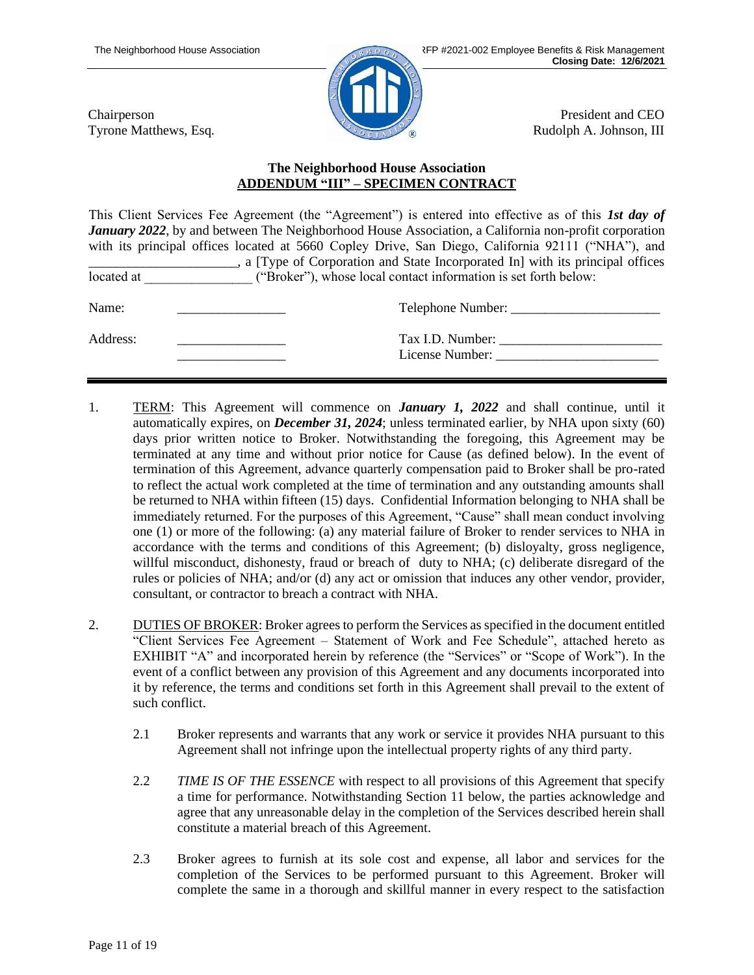Chairperson Tyrone Matthews, Esq.

President and CEO Rudolph A. Johnson, III

### **The Neighborhood House Association ADDENDUM "III" – SPECIMEN CONTRACT**

This Client Services Fee Agreement (the "Agreement") is entered into effective as of this *1st day of January 2022*, by and between The Neighborhood House Association, a California non-profit corporation with its principal offices located at 5660 Copley Drive, San Diego, California 92111 ("NHA"), and \_\_\_\_\_\_\_\_\_\_\_\_\_\_\_\_\_\_\_\_\_\_, a [Type of Corporation and State Incorporated In] with its principal offices located at  $($ "Broker"), whose local contact information is set forth below:

| Name:    | Telephone Number:                   |
|----------|-------------------------------------|
| Address: | Tax I.D. Number:<br>License Number: |

- 1. TERM: This Agreement will commence on *January 1, 2022* and shall continue, until it automatically expires, on *December 31, 2024*; unless terminated earlier, by NHA upon sixty (60) days prior written notice to Broker. Notwithstanding the foregoing, this Agreement may be terminated at any time and without prior notice for Cause (as defined below). In the event of termination of this Agreement, advance quarterly compensation paid to Broker shall be pro-rated to reflect the actual work completed at the time of termination and any outstanding amounts shall be returned to NHA within fifteen (15) days. Confidential Information belonging to NHA shall be immediately returned. For the purposes of this Agreement, "Cause" shall mean conduct involving one (1) or more of the following: (a) any material failure of Broker to render services to NHA in accordance with the terms and conditions of this Agreement; (b) disloyalty, gross negligence, willful misconduct, dishonesty, fraud or breach of duty to NHA; (c) deliberate disregard of the rules or policies of NHA; and/or (d) any act or omission that induces any other vendor, provider, consultant, or contractor to breach a contract with NHA.
- 2. DUTIES OF BROKER: Broker agrees to perform the Services as specified in the document entitled "Client Services Fee Agreement – Statement of Work and Fee Schedule", attached hereto as EXHIBIT "A" and incorporated herein by reference (the "Services" or "Scope of Work"). In the event of a conflict between any provision of this Agreement and any documents incorporated into it by reference, the terms and conditions set forth in this Agreement shall prevail to the extent of such conflict.
	- 2.1 Broker represents and warrants that any work or service it provides NHA pursuant to this Agreement shall not infringe upon the intellectual property rights of any third party.
	- 2.2 *TIME IS OF THE ESSENCE* with respect to all provisions of this Agreement that specify a time for performance. Notwithstanding Section 11 below, the parties acknowledge and agree that any unreasonable delay in the completion of the Services described herein shall constitute a material breach of this Agreement.
	- 2.3 Broker agrees to furnish at its sole cost and expense, all labor and services for the completion of the Services to be performed pursuant to this Agreement. Broker will complete the same in a thorough and skillful manner in every respect to the satisfaction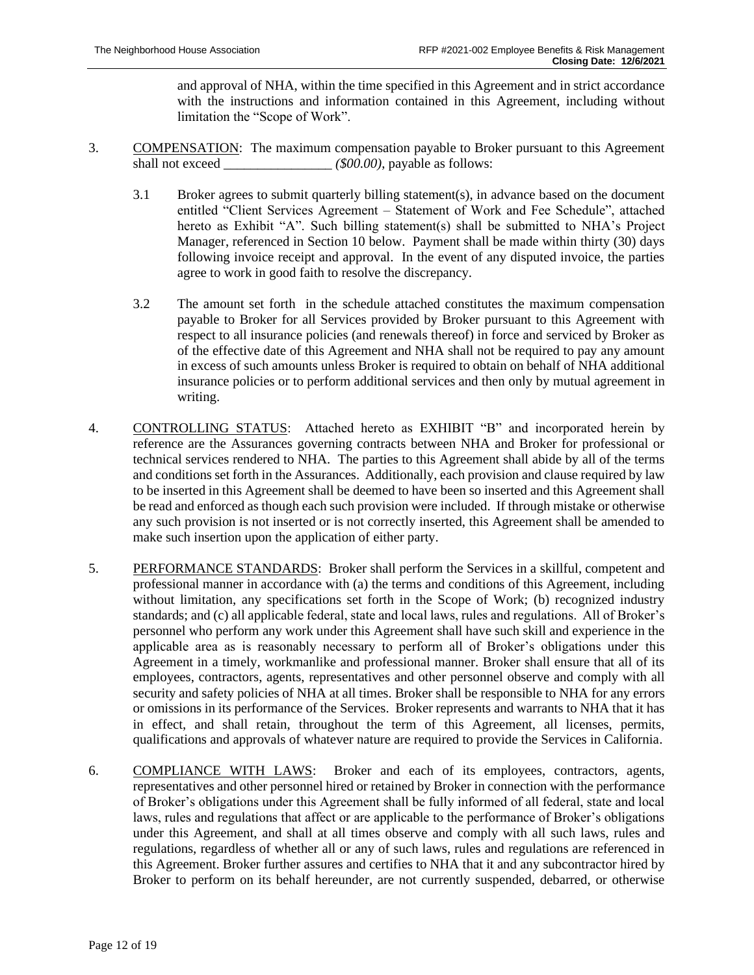and approval of NHA, within the time specified in this Agreement and in strict accordance with the instructions and information contained in this Agreement, including without limitation the "Scope of Work".

- 3. COMPENSATION: The maximum compensation payable to Broker pursuant to this Agreement shall not exceed  $$00.00$ , payable as follows:
	- 3.1 Broker agrees to submit quarterly billing statement(s), in advance based on the document entitled "Client Services Agreement – Statement of Work and Fee Schedule", attached hereto as Exhibit "A". Such billing statement(s) shall be submitted to NHA's Project Manager, referenced in Section 10 below. Payment shall be made within thirty (30) days following invoice receipt and approval. In the event of any disputed invoice, the parties agree to work in good faith to resolve the discrepancy.
	- 3.2 The amount set forth in the schedule attached constitutes the maximum compensation payable to Broker for all Services provided by Broker pursuant to this Agreement with respect to all insurance policies (and renewals thereof) in force and serviced by Broker as of the effective date of this Agreement and NHA shall not be required to pay any amount in excess of such amounts unless Broker is required to obtain on behalf of NHA additional insurance policies or to perform additional services and then only by mutual agreement in writing.
- 4. CONTROLLING STATUS: Attached hereto as EXHIBIT "B" and incorporated herein by reference are the Assurances governing contracts between NHA and Broker for professional or technical services rendered to NHA. The parties to this Agreement shall abide by all of the terms and conditions set forth in the Assurances. Additionally, each provision and clause required by law to be inserted in this Agreement shall be deemed to have been so inserted and this Agreement shall be read and enforced as though each such provision were included. If through mistake or otherwise any such provision is not inserted or is not correctly inserted, this Agreement shall be amended to make such insertion upon the application of either party.
- 5. PERFORMANCE STANDARDS: Broker shall perform the Services in a skillful, competent and professional manner in accordance with (a) the terms and conditions of this Agreement, including without limitation, any specifications set forth in the Scope of Work; (b) recognized industry standards; and (c) all applicable federal, state and local laws, rules and regulations. All of Broker's personnel who perform any work under this Agreement shall have such skill and experience in the applicable area as is reasonably necessary to perform all of Broker's obligations under this Agreement in a timely, workmanlike and professional manner. Broker shall ensure that all of its employees, contractors, agents, representatives and other personnel observe and comply with all security and safety policies of NHA at all times. Broker shall be responsible to NHA for any errors or omissions in its performance of the Services. Broker represents and warrants to NHA that it has in effect, and shall retain, throughout the term of this Agreement, all licenses, permits, qualifications and approvals of whatever nature are required to provide the Services in California.
- 6. COMPLIANCE WITH LAWS: Broker and each of its employees, contractors, agents, representatives and other personnel hired or retained by Broker in connection with the performance of Broker's obligations under this Agreement shall be fully informed of all federal, state and local laws, rules and regulations that affect or are applicable to the performance of Broker's obligations under this Agreement, and shall at all times observe and comply with all such laws, rules and regulations, regardless of whether all or any of such laws, rules and regulations are referenced in this Agreement. Broker further assures and certifies to NHA that it and any subcontractor hired by Broker to perform on its behalf hereunder, are not currently suspended, debarred, or otherwise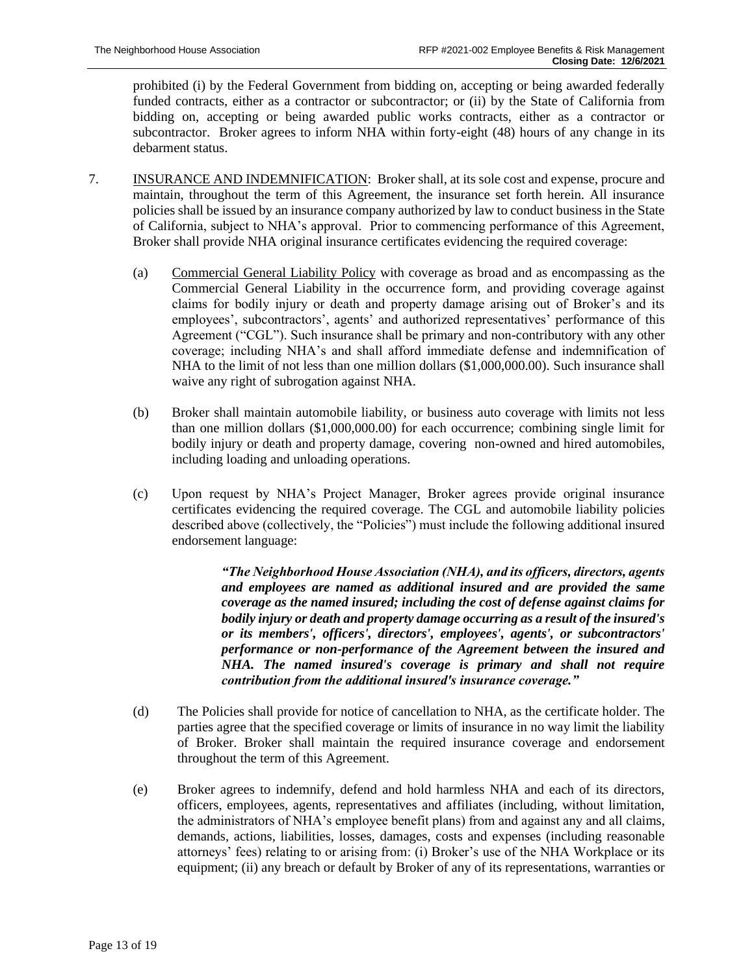prohibited (i) by the Federal Government from bidding on, accepting or being awarded federally funded contracts, either as a contractor or subcontractor; or (ii) by the State of California from bidding on, accepting or being awarded public works contracts, either as a contractor or subcontractor. Broker agrees to inform NHA within forty-eight (48) hours of any change in its debarment status.

- 7. INSURANCE AND INDEMNIFICATION: Broker shall, at its sole cost and expense, procure and maintain, throughout the term of this Agreement, the insurance set forth herein. All insurance policies shall be issued by an insurance company authorized by law to conduct business in the State of California, subject to NHA's approval. Prior to commencing performance of this Agreement, Broker shall provide NHA original insurance certificates evidencing the required coverage:
	- (a) Commercial General Liability Policy with coverage as broad and as encompassing as the Commercial General Liability in the occurrence form, and providing coverage against claims for bodily injury or death and property damage arising out of Broker's and its employees', subcontractors', agents' and authorized representatives' performance of this Agreement ("CGL"). Such insurance shall be primary and non-contributory with any other coverage; including NHA's and shall afford immediate defense and indemnification of NHA to the limit of not less than one million dollars (\$1,000,000.00). Such insurance shall waive any right of subrogation against NHA.
	- (b) Broker shall maintain automobile liability, or business auto coverage with limits not less than one million dollars (\$1,000,000.00) for each occurrence; combining single limit for bodily injury or death and property damage, covering non-owned and hired automobiles, including loading and unloading operations.
	- (c) Upon request by NHA's Project Manager, Broker agrees provide original insurance certificates evidencing the required coverage. The CGL and automobile liability policies described above (collectively, the "Policies") must include the following additional insured endorsement language:

*"The Neighborhood House Association (NHA), and its officers, directors, agents and employees are named as additional insured and are provided the same coverage as the named insured; including the cost of defense against claims for bodily injury or death and property damage occurring as a result of the insured's or its members', officers', directors', employees', agents', or subcontractors' performance or non-performance of the Agreement between the insured and NHA. The named insured's coverage is primary and shall not require contribution from the additional insured's insurance coverage."*

- (d) The Policies shall provide for notice of cancellation to NHA, as the certificate holder. The parties agree that the specified coverage or limits of insurance in no way limit the liability of Broker. Broker shall maintain the required insurance coverage and endorsement throughout the term of this Agreement.
- (e) Broker agrees to indemnify, defend and hold harmless NHA and each of its directors, officers, employees, agents, representatives and affiliates (including, without limitation, the administrators of NHA's employee benefit plans) from and against any and all claims, demands, actions, liabilities, losses, damages, costs and expenses (including reasonable attorneys' fees) relating to or arising from: (i) Broker's use of the NHA Workplace or its equipment; (ii) any breach or default by Broker of any of its representations, warranties or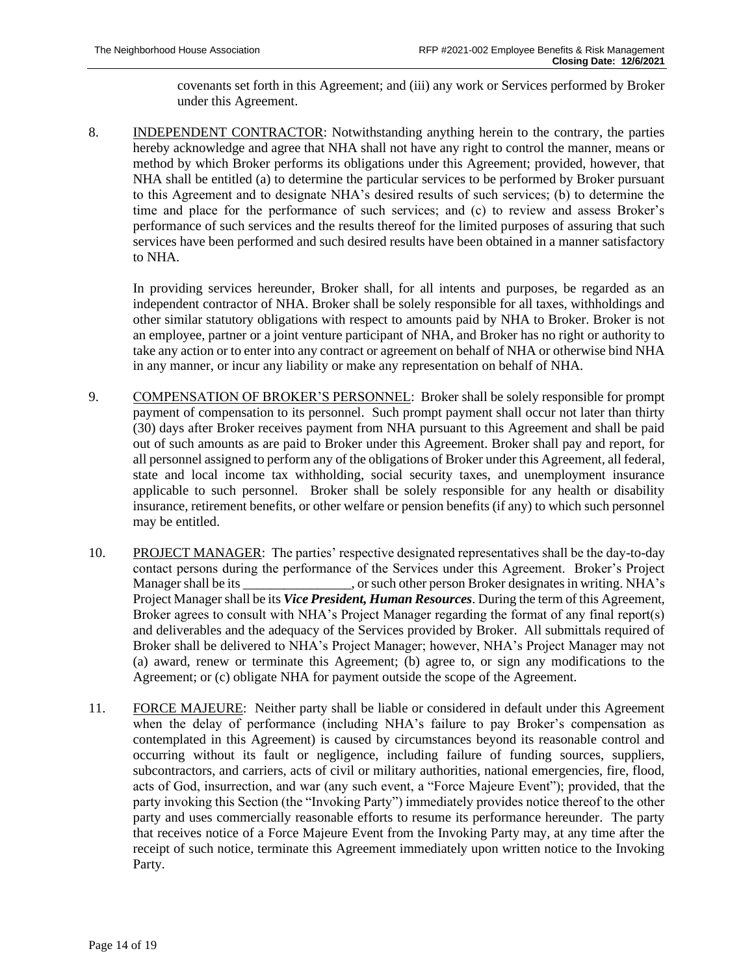covenants set forth in this Agreement; and (iii) any work or Services performed by Broker under this Agreement.

8. INDEPENDENT CONTRACTOR: Notwithstanding anything herein to the contrary, the parties hereby acknowledge and agree that NHA shall not have any right to control the manner, means or method by which Broker performs its obligations under this Agreement; provided, however, that NHA shall be entitled (a) to determine the particular services to be performed by Broker pursuant to this Agreement and to designate NHA's desired results of such services; (b) to determine the time and place for the performance of such services; and (c) to review and assess Broker's performance of such services and the results thereof for the limited purposes of assuring that such services have been performed and such desired results have been obtained in a manner satisfactory to NHA.

In providing services hereunder, Broker shall, for all intents and purposes, be regarded as an independent contractor of NHA. Broker shall be solely responsible for all taxes, withholdings and other similar statutory obligations with respect to amounts paid by NHA to Broker. Broker is not an employee, partner or a joint venture participant of NHA, and Broker has no right or authority to take any action or to enter into any contract or agreement on behalf of NHA or otherwise bind NHA in any manner, or incur any liability or make any representation on behalf of NHA.

- 9. COMPENSATION OF BROKER'S PERSONNEL: Broker shall be solely responsible for prompt payment of compensation to its personnel. Such prompt payment shall occur not later than thirty (30) days after Broker receives payment from NHA pursuant to this Agreement and shall be paid out of such amounts as are paid to Broker under this Agreement. Broker shall pay and report, for all personnel assigned to perform any of the obligations of Broker under this Agreement, all federal, state and local income tax withholding, social security taxes, and unemployment insurance applicable to such personnel. Broker shall be solely responsible for any health or disability insurance, retirement benefits, or other welfare or pension benefits (if any) to which such personnel may be entitled.
- 10. PROJECT MANAGER: The parties' respective designated representatives shall be the day-to-day contact persons during the performance of the Services under this Agreement. Broker's Project Manager shall be its  $\cdot$  , or such other person Broker designates in writing. NHA's Project Manager shall be its *Vice President, Human Resources*. During the term of this Agreement, Broker agrees to consult with NHA's Project Manager regarding the format of any final report(s) and deliverables and the adequacy of the Services provided by Broker. All submittals required of Broker shall be delivered to NHA's Project Manager; however, NHA's Project Manager may not (a) award, renew or terminate this Agreement; (b) agree to, or sign any modifications to the Agreement; or (c) obligate NHA for payment outside the scope of the Agreement.
- 11. FORCE MAJEURE: Neither party shall be liable or considered in default under this Agreement when the delay of performance (including NHA's failure to pay Broker's compensation as contemplated in this Agreement) is caused by circumstances beyond its reasonable control and occurring without its fault or negligence, including failure of funding sources, suppliers, subcontractors, and carriers, acts of civil or military authorities, national emergencies, fire, flood, acts of God, insurrection, and war (any such event, a "Force Majeure Event"); provided, that the party invoking this Section (the "Invoking Party") immediately provides notice thereof to the other party and uses commercially reasonable efforts to resume its performance hereunder. The party that receives notice of a Force Majeure Event from the Invoking Party may, at any time after the receipt of such notice, terminate this Agreement immediately upon written notice to the Invoking Party.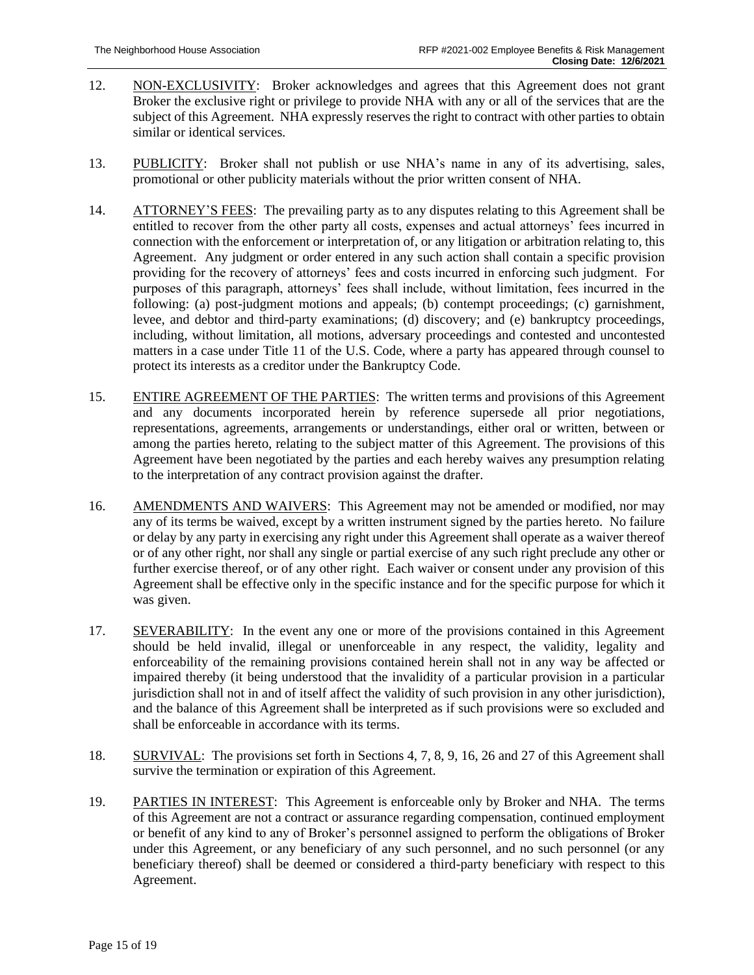- 12. NON-EXCLUSIVITY: Broker acknowledges and agrees that this Agreement does not grant Broker the exclusive right or privilege to provide NHA with any or all of the services that are the subject of this Agreement. NHA expressly reserves the right to contract with other parties to obtain similar or identical services.
- 13. PUBLICITY: Broker shall not publish or use NHA's name in any of its advertising, sales, promotional or other publicity materials without the prior written consent of NHA.
- 14. ATTORNEY'S FEES: The prevailing party as to any disputes relating to this Agreement shall be entitled to recover from the other party all costs, expenses and actual attorneys' fees incurred in connection with the enforcement or interpretation of, or any litigation or arbitration relating to, this Agreement. Any judgment or order entered in any such action shall contain a specific provision providing for the recovery of attorneys' fees and costs incurred in enforcing such judgment. For purposes of this paragraph, attorneys' fees shall include, without limitation, fees incurred in the following: (a) post-judgment motions and appeals; (b) contempt proceedings; (c) garnishment, levee, and debtor and third-party examinations; (d) discovery; and (e) bankruptcy proceedings, including, without limitation, all motions, adversary proceedings and contested and uncontested matters in a case under Title 11 of the U.S. Code, where a party has appeared through counsel to protect its interests as a creditor under the Bankruptcy Code.
- 15. ENTIRE AGREEMENT OF THE PARTIES: The written terms and provisions of this Agreement and any documents incorporated herein by reference supersede all prior negotiations, representations, agreements, arrangements or understandings, either oral or written, between or among the parties hereto, relating to the subject matter of this Agreement. The provisions of this Agreement have been negotiated by the parties and each hereby waives any presumption relating to the interpretation of any contract provision against the drafter.
- 16. AMENDMENTS AND WAIVERS: This Agreement may not be amended or modified, nor may any of its terms be waived, except by a written instrument signed by the parties hereto. No failure or delay by any party in exercising any right under this Agreement shall operate as a waiver thereof or of any other right, nor shall any single or partial exercise of any such right preclude any other or further exercise thereof, or of any other right. Each waiver or consent under any provision of this Agreement shall be effective only in the specific instance and for the specific purpose for which it was given.
- 17. SEVERABILITY: In the event any one or more of the provisions contained in this Agreement should be held invalid, illegal or unenforceable in any respect, the validity, legality and enforceability of the remaining provisions contained herein shall not in any way be affected or impaired thereby (it being understood that the invalidity of a particular provision in a particular jurisdiction shall not in and of itself affect the validity of such provision in any other jurisdiction), and the balance of this Agreement shall be interpreted as if such provisions were so excluded and shall be enforceable in accordance with its terms.
- 18. SURVIVAL: The provisions set forth in Sections 4, 7, 8, 9, 16, 26 and 27 of this Agreement shall survive the termination or expiration of this Agreement.
- 19. PARTIES IN INTEREST: This Agreement is enforceable only by Broker and NHA. The terms of this Agreement are not a contract or assurance regarding compensation, continued employment or benefit of any kind to any of Broker's personnel assigned to perform the obligations of Broker under this Agreement, or any beneficiary of any such personnel, and no such personnel (or any beneficiary thereof) shall be deemed or considered a third-party beneficiary with respect to this Agreement.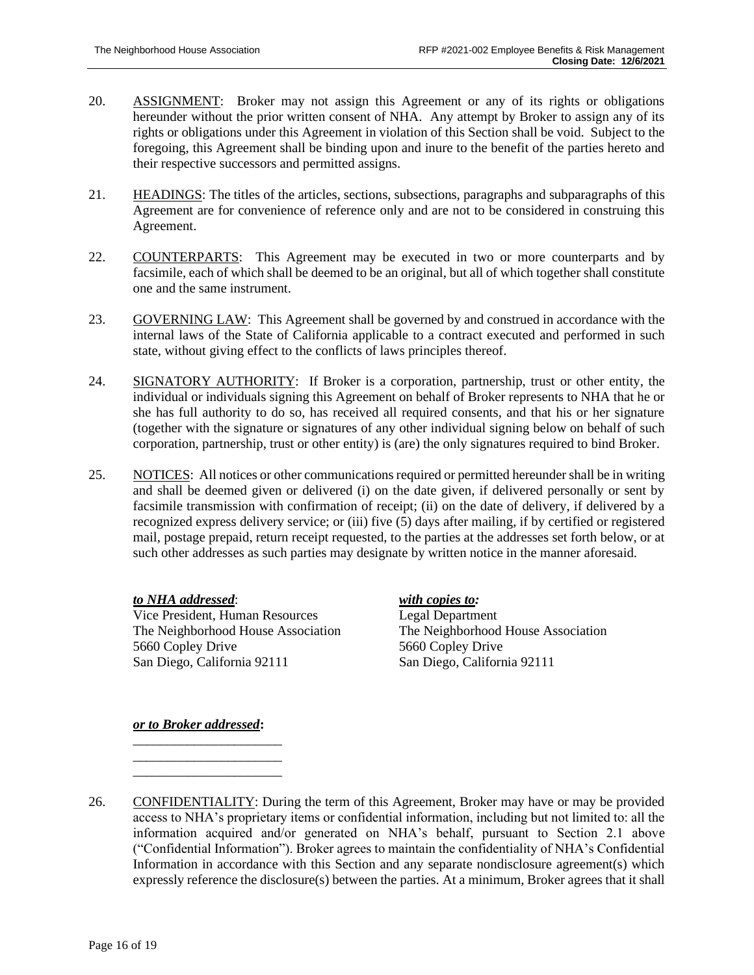- 20. ASSIGNMENT: Broker may not assign this Agreement or any of its rights or obligations hereunder without the prior written consent of NHA. Any attempt by Broker to assign any of its rights or obligations under this Agreement in violation of this Section shall be void. Subject to the foregoing, this Agreement shall be binding upon and inure to the benefit of the parties hereto and their respective successors and permitted assigns.
- 21. HEADINGS: The titles of the articles, sections, subsections, paragraphs and subparagraphs of this Agreement are for convenience of reference only and are not to be considered in construing this Agreement.
- 22. COUNTERPARTS: This Agreement may be executed in two or more counterparts and by facsimile, each of which shall be deemed to be an original, but all of which together shall constitute one and the same instrument.
- 23. GOVERNING LAW: This Agreement shall be governed by and construed in accordance with the internal laws of the State of California applicable to a contract executed and performed in such state, without giving effect to the conflicts of laws principles thereof.
- 24. SIGNATORY AUTHORITY: If Broker is a corporation, partnership, trust or other entity, the individual or individuals signing this Agreement on behalf of Broker represents to NHA that he or she has full authority to do so, has received all required consents, and that his or her signature (together with the signature or signatures of any other individual signing below on behalf of such corporation, partnership, trust or other entity) is (are) the only signatures required to bind Broker.
- 25. NOTICES: All notices or other communications required or permitted hereunder shall be in writing and shall be deemed given or delivered (i) on the date given, if delivered personally or sent by facsimile transmission with confirmation of receipt; (ii) on the date of delivery, if delivered by a recognized express delivery service; or (iii) five (5) days after mailing, if by certified or registered mail, postage prepaid, return receipt requested, to the parties at the addresses set forth below, or at such other addresses as such parties may designate by written notice in the manner aforesaid.

*to NHA addressed*: *with copies to:* Vice President, Human Resources Legal Department The Neighborhood House Association The Neighborhood House Association 5660 Copley Drive 5660 Copley Drive San Diego, California 92111 San Diego, California 92111

## *or to Broker addressed***:**

\_\_\_\_\_\_\_\_\_\_\_\_\_\_\_\_\_\_\_\_\_\_ \_\_\_\_\_\_\_\_\_\_\_\_\_\_\_\_\_\_\_\_\_\_ \_\_\_\_\_\_\_\_\_\_\_\_\_\_\_\_\_\_\_\_\_\_

26. CONFIDENTIALITY: During the term of this Agreement, Broker may have or may be provided access to NHA's proprietary items or confidential information, including but not limited to: all the information acquired and/or generated on NHA's behalf, pursuant to Section 2.1 above ("Confidential Information"). Broker agrees to maintain the confidentiality of NHA's Confidential Information in accordance with this Section and any separate nondisclosure agreement(s) which expressly reference the disclosure(s) between the parties. At a minimum, Broker agrees that it shall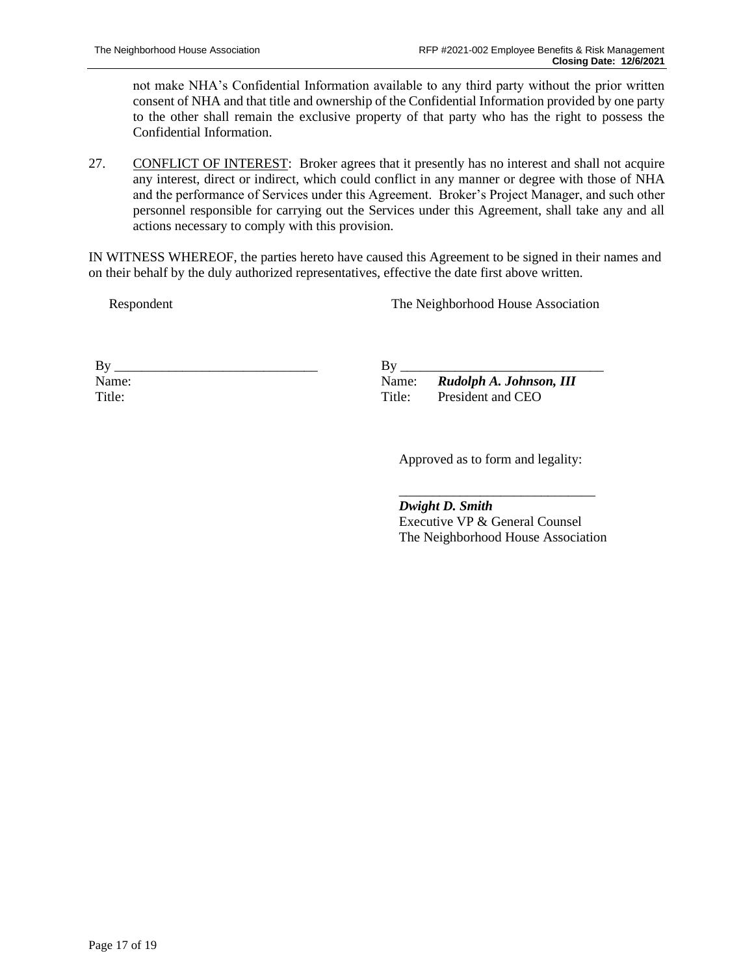not make NHA's Confidential Information available to any third party without the prior written consent of NHA and that title and ownership of the Confidential Information provided by one party to the other shall remain the exclusive property of that party who has the right to possess the Confidential Information.

27. CONFLICT OF INTEREST: Broker agrees that it presently has no interest and shall not acquire any interest, direct or indirect, which could conflict in any manner or degree with those of NHA and the performance of Services under this Agreement. Broker's Project Manager, and such other personnel responsible for carrying out the Services under this Agreement, shall take any and all actions necessary to comply with this provision.

IN WITNESS WHEREOF, the parties hereto have caused this Agreement to be signed in their names and on their behalf by the duly authorized representatives, effective the date first above written.

Respondent

The Neighborhood House Association

| Вy     |  |  |
|--------|--|--|
| Name:  |  |  |
| Title: |  |  |

 $By_$ Name: *Rudolph A. Johnson, III* Title: President and CEO

Approved as to form and legality:

\_\_\_\_\_\_\_\_\_\_\_\_\_\_\_\_\_\_\_\_\_\_\_\_\_\_\_\_\_

*Dwight D. Smith*

Executive VP & General Counsel The Neighborhood House Association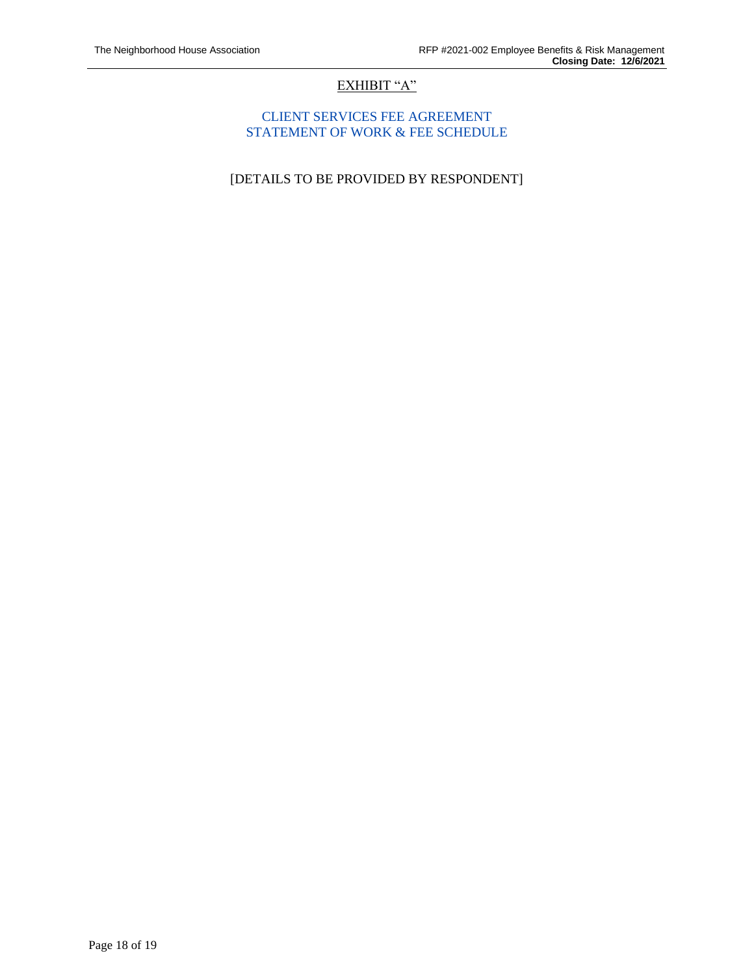# EXHIBIT "A"

### CLIENT SERVICES FEE AGREEMENT STATEMENT OF WORK & FEE SCHEDULE

[DETAILS TO BE PROVIDED BY RESPONDENT]